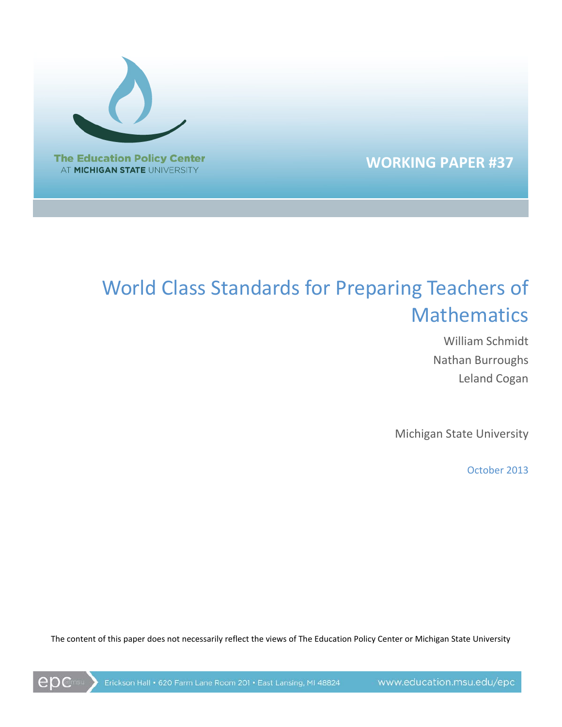

## **WORKING PAPER #37**

# World Class Standards for Preparing Teachers of **Mathematics**

William Schmidt Nathan Burroughs Leland Cogan

Michigan State University

October 2013

The content of this paper does not necessarily reflect the views of The Education Policy Center or Michigan State University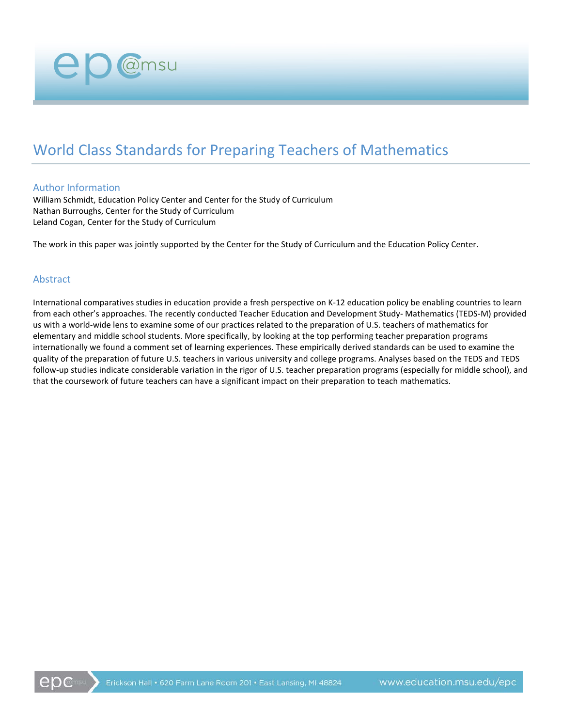# World Class Standards for Preparing Teachers of Mathematics

#### Author Information

William Schmidt, Education Policy Center and Center for the Study of Curriculum Nathan Burroughs, Center for the Study of Curriculum Leland Cogan, Center for the Study of Curriculum

@msu

The work in this paper was jointly supported by the Center for the Study of Curriculum and the Education Policy Center.

#### Abstract

International comparatives studies in education provide a fresh perspective on K-12 education policy be enabling countries to learn from each other's approaches. The recently conducted Teacher Education and Development Study- Mathematics (TEDS-M) provided us with a world-wide lens to examine some of our practices related to the preparation of U.S. teachers of mathematics for elementary and middle school students. More specifically, by looking at the top performing teacher preparation programs internationally we found a comment set of learning experiences. These empirically derived standards can be used to examine the quality of the preparation of future U.S. teachers in various university and college programs. Analyses based on the TEDS and TEDS follow-up studies indicate considerable variation in the rigor of U.S. teacher preparation programs (especially for middle school), and that the coursework of future teachers can have a significant impact on their preparation to teach mathematics.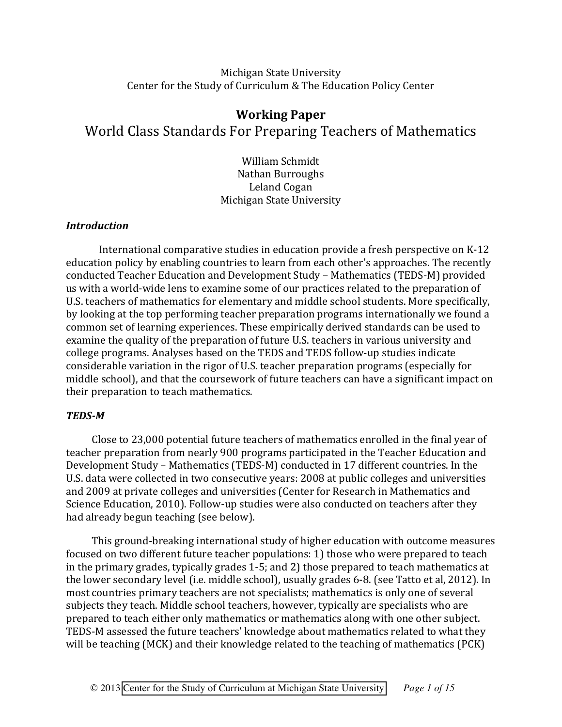## Michigan State University Center for the Study of Curriculum & The Education Policy Center

## **Working Paper** World Class Standards For Preparing Teachers of Mathematics

William Schmidt Nathan Burroughs Leland Cogan Michigan State University

#### *Introduction*

International comparative studies in education provide a fresh perspective on  $K-12$ education policy by enabling countries to learn from each other's approaches. The recently conducted Teacher Education and Development Study – Mathematics (TEDS-M) provided us with a world-wide lens to examine some of our practices related to the preparation of U.S. teachers of mathematics for elementary and middle school students. More specifically, by looking at the top performing teacher preparation programs internationally we found a common set of learning experiences. These empirically derived standards can be used to examine the quality of the preparation of future U.S. teachers in various university and college programs. Analyses based on the TEDS and TEDS follow-up studies indicate considerable variation in the rigor of U.S. teacher preparation programs (especially for middle school), and that the coursework of future teachers can have a significant impact on their preparation to teach mathematics.

#### *TEDS/M*

Close to 23,000 potential future teachers of mathematics enrolled in the final year of teacher preparation from nearly 900 programs participated in the Teacher Education and Development Study – Mathematics (TEDS-M) conducted in 17 different countries. In the U.S. data were collected in two consecutive years: 2008 at public colleges and universities and 2009 at private colleges and universities (Center for Research in Mathematics and Science Education, 2010). Follow-up studies were also conducted on teachers after they had already begun teaching (see below).

This ground-breaking international study of higher education with outcome measures focused on two different future teacher populations: 1) those who were prepared to teach in the primary grades, typically grades  $1-5$ ; and  $2)$  those prepared to teach mathematics at the lower secondary level (i.e. middle school), usually grades 6-8. (see Tatto et al, 2012). In most countries primary teachers are not specialists; mathematics is only one of several subjects they teach. Middle school teachers, however, typically are specialists who are prepared to teach either only mathematics or mathematics along with one other subject. TEDS-M assessed the future teachers' knowledge about mathematics related to what they will be teaching (MCK) and their knowledge related to the teaching of mathematics (PCK)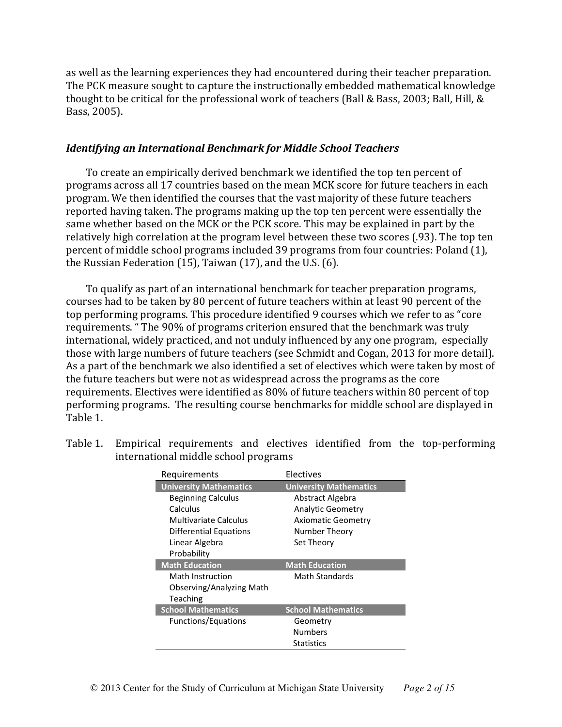as well as the learning experiences they had encountered during their teacher preparation. The PCK measure sought to capture the instructionally embedded mathematical knowledge thought to be critical for the professional work of teachers (Ball & Bass, 2003; Ball, Hill, & Bass, 2005).

#### *Identifying\*an\*International\*Benchmark\*for\*Middle\*School\*Teachers*

To create an empirically derived benchmark we identified the top ten percent of programs across all 17 countries based on the mean MCK score for future teachers in each program. We then identified the courses that the vast majority of these future teachers reported having taken. The programs making up the top ten percent were essentially the same whether based on the MCK or the PCK score. This may be explained in part by the relatively high correlation at the program level between these two scores (.93). The top ten percent of middle school programs included 39 programs from four countries: Poland (1), the Russian Federation (15), Taiwan (17), and the U.S. (6).

To qualify as part of an international benchmark for teacher preparation programs, courses had to be taken by 80 percent of future teachers within at least 90 percent of the top performing programs. This procedure identified 9 courses which we refer to as "core requirements. "The 90% of programs criterion ensured that the benchmark was truly international, widely practiced, and not unduly influenced by any one program, especially those with large numbers of future teachers (see Schmidt and Cogan, 2013 for more detail). As a part of the benchmark we also identified a set of electives which were taken by most of the future teachers but were not as widespread across the programs as the core requirements. Electives were identified as 80% of future teachers within 80 percent of top performing programs. The resulting course benchmarks for middle school are displayed in Table 1.

Table 1. Empirical requirements and electives identified from the top-performing international middle school programs

| Requirements                  | Electives                     |
|-------------------------------|-------------------------------|
| <b>University Mathematics</b> | <b>University Mathematics</b> |
| <b>Beginning Calculus</b>     | Abstract Algebra              |
| Calculus                      | <b>Analytic Geometry</b>      |
| Multivariate Calculus         | <b>Axiomatic Geometry</b>     |
| Differential Equations        | Number Theory                 |
| Linear Algebra                | Set Theory                    |
| Probability                   |                               |
| <b>Math Education</b>         | <b>Math Education</b>         |
| Math Instruction              | Math Standards                |
| Observing/Analyzing Math      |                               |
| Teaching                      |                               |
| <b>School Mathematics</b>     | <b>School Mathematics</b>     |
| Functions/Equations           | Geometry                      |
|                               | <b>Numbers</b>                |
|                               |                               |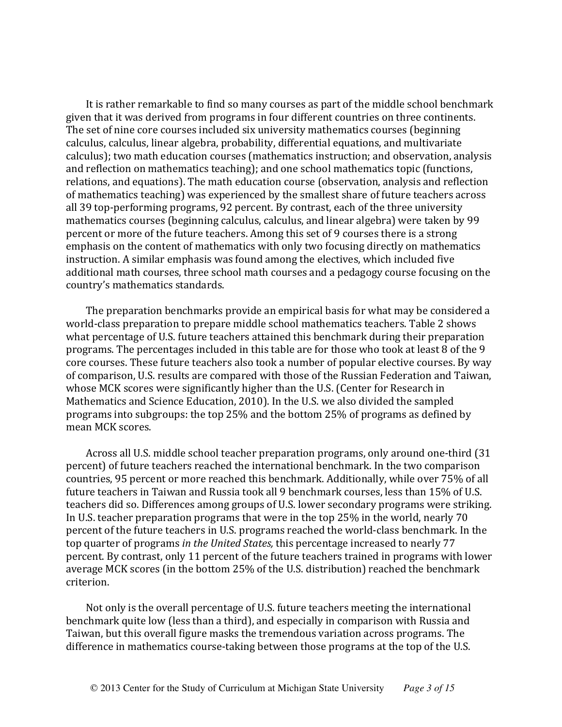It is rather remarkable to find so many courses as part of the middle school benchmark given that it was derived from programs in four different countries on three continents. The set of nine core courses included six university mathematics courses (beginning calculus, calculus, linear algebra, probability, differential equations, and multivariate calculus); two math education courses (mathematics instruction; and observation, analysis and reflection on mathematics teaching); and one school mathematics topic (functions, relations, and equations). The math education course (observation, analysis and reflection of mathematics teaching) was experienced by the smallest share of future teachers across all 39 top-performing programs, 92 percent. By contrast, each of the three university mathematics courses (beginning calculus, calculus, and linear algebra) were taken by 99 percent or more of the future teachers. Among this set of 9 courses there is a strong emphasis on the content of mathematics with only two focusing directly on mathematics instruction. A similar emphasis was found among the electives, which included five additional math courses, three school math courses and a pedagogy course focusing on the country's mathematics standards.

The preparation benchmarks provide an empirical basis for what may be considered a world-class preparation to prepare middle school mathematics teachers. Table 2 shows what percentage of U.S. future teachers attained this benchmark during their preparation programs. The percentages included in this table are for those who took at least 8 of the 9 core courses. These future teachers also took a number of popular elective courses. By way of comparison, U.S. results are compared with those of the Russian Federation and Taiwan, whose MCK scores were significantly higher than the U.S. (Center for Research in Mathematics and Science Education, 2010). In the U.S. we also divided the sampled programs into subgroups: the top 25% and the bottom 25% of programs as defined by mean MCK scores.

Across all U.S. middle school teacher preparation programs, only around one-third (31) percent) of future teachers reached the international benchmark. In the two comparison countries, 95 percent or more reached this benchmark. Additionally, while over 75% of all future teachers in Taiwan and Russia took all 9 benchmark courses, less than 15% of U.S. teachers did so. Differences among groups of U.S. lower secondary programs were striking. In U.S. teacher preparation programs that were in the top  $25\%$  in the world, nearly 70 percent of the future teachers in U.S. programs reached the world-class benchmark. In the top quarter of programs *in the United States*, this percentage increased to nearly 77 percent. By contrast, only 11 percent of the future teachers trained in programs with lower average MCK scores (in the bottom 25% of the U.S. distribution) reached the benchmark criterion.

Not only is the overall percentage of U.S. future teachers meeting the international benchmark quite low (less than a third), and especially in comparison with Russia and Taiwan, but this overall figure masks the tremendous variation across programs. The difference in mathematics course-taking between those programs at the top of the U.S.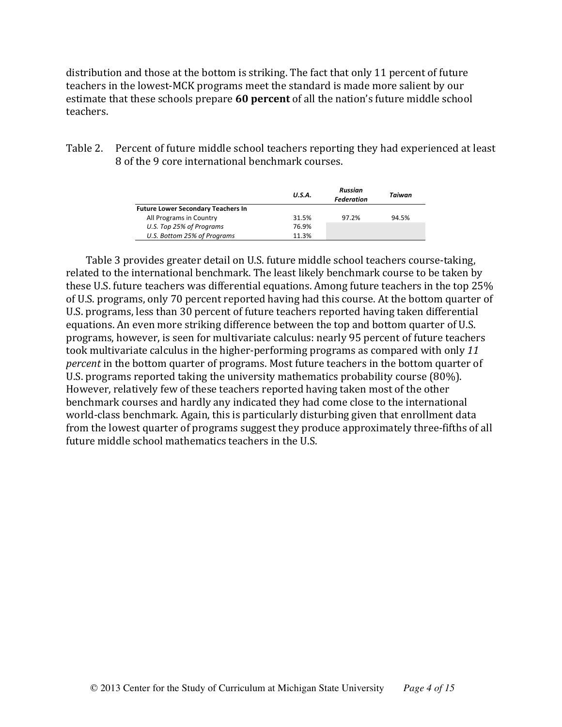distribution and those at the bottom is striking. The fact that only 11 percent of future teachers in the lowest-MCK programs meet the standard is made more salient by our estimate that these schools prepare 60 percent of all the nation's future middle school teachers.

Table 2. Percent of future middle school teachers reporting they had experienced at least 8 of the 9 core international benchmark courses.

|                                           | U.S.A. | Russian<br>Federation | Taiwan |
|-------------------------------------------|--------|-----------------------|--------|
| <b>Future Lower Secondary Teachers In</b> |        |                       |        |
| All Programs in Country                   | 31.5%  | 97.2%                 | 94.5%  |
| U.S. Top 25% of Programs                  | 76.9%  |                       |        |
| U.S. Bottom 25% of Programs               | 11.3%  |                       |        |

Table 3 provides greater detail on U.S. future middle school teachers course-taking, related to the international benchmark. The least likely benchmark course to be taken by these U.S. future teachers was differential equations. Among future teachers in the top 25% of U.S. programs, only 70 percent reported having had this course. At the bottom quarter of U.S. programs, less than 30 percent of future teachers reported having taken differential equations. An even more striking difference between the top and bottom quarter of U.S. programs, however, is seen for multivariate calculus: nearly 95 percent of future teachers took multivariate calculus in the higher-performing programs as compared with only 11 *percent* in the bottom quarter of programs. Most future teachers in the bottom quarter of U.S. programs reported taking the university mathematics probability course (80%). However, relatively few of these teachers reported having taken most of the other benchmark courses and hardly any indicated they had come close to the international world-class benchmark. Again, this is particularly disturbing given that enrollment data from the lowest quarter of programs suggest they produce approximately three-fifths of all future middle school mathematics teachers in the U.S.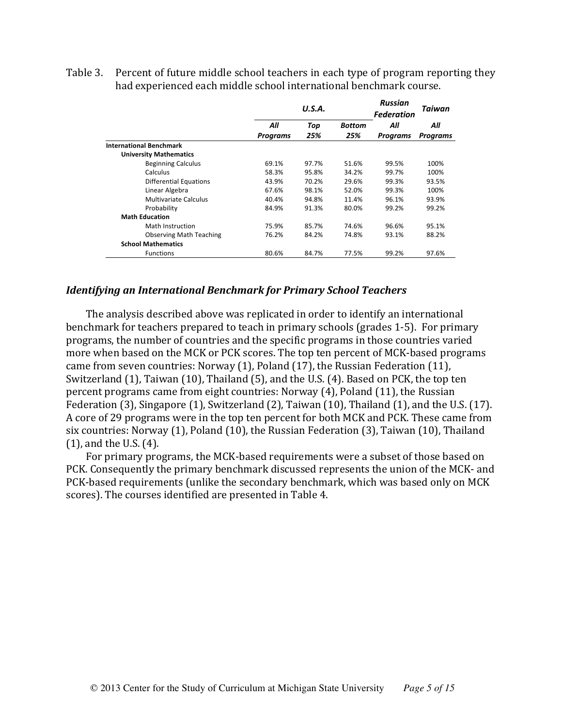Table 3. Percent of future middle school teachers in each type of program reporting they had experienced each middle school international benchmark course.

|                                | U.S.A.          |       |               | <b>Russian</b><br><b>Federation</b> | Taiwan          |  |
|--------------------------------|-----------------|-------|---------------|-------------------------------------|-----------------|--|
|                                | All             | Top   | <b>Bottom</b> | All                                 | All             |  |
|                                | <b>Programs</b> | 25%   | 25%           | Programs                            | <b>Programs</b> |  |
| <b>International Benchmark</b> |                 |       |               |                                     |                 |  |
| <b>University Mathematics</b>  |                 |       |               |                                     |                 |  |
| <b>Beginning Calculus</b>      | 69.1%           | 97.7% | 51.6%         | 99.5%                               | 100%            |  |
| Calculus                       | 58.3%           | 95.8% | 34.2%         | 99.7%                               | 100%            |  |
| <b>Differential Equations</b>  | 43.9%           | 70.2% | 29.6%         | 99.3%                               | 93.5%           |  |
| Linear Algebra                 | 67.6%           | 98.1% | 52.0%         | 99.3%                               | 100%            |  |
| <b>Multivariate Calculus</b>   | 40.4%           | 94.8% | 11.4%         | 96.1%                               | 93.9%           |  |
| Probability                    | 84.9%           | 91.3% | 80.0%         | 99.2%                               | 99.2%           |  |
| <b>Math Education</b>          |                 |       |               |                                     |                 |  |
| Math Instruction               | 75.9%           | 85.7% | 74.6%         | 96.6%                               | 95.1%           |  |
| <b>Observing Math Teaching</b> | 76.2%           | 84.2% | 74.8%         | 93.1%                               | 88.2%           |  |
| <b>School Mathematics</b>      |                 |       |               |                                     |                 |  |
| <b>Functions</b>               | 80.6%           | 84.7% | 77.5%         | 99.2%                               | 97.6%           |  |

#### *Identifying\*an\*International\*Benchmark\*for\*Primary\*School\*Teachers*

The analysis described above was replicated in order to identify an international benchmark for teachers prepared to teach in primary schools (grades 1-5). For primary programs, the number of countries and the specific programs in those countries varied more when based on the MCK or PCK scores. The top ten percent of MCK-based programs came from seven countries: Norway (1), Poland (17), the Russian Federation (11), Switzerland (1), Taiwan (10), Thailand (5), and the U.S. (4). Based on PCK, the top ten percent programs came from eight countries: Norway (4), Poland (11), the Russian Federation (3), Singapore (1), Switzerland (2), Taiwan (10), Thailand (1), and the U.S. (17). A core of 29 programs were in the top ten percent for both MCK and PCK. These came from six countries: Norway (1), Poland (10), the Russian Federation (3), Taiwan (10), Thailand  $(1)$ , and the U.S.  $(4)$ .

For primary programs, the MCK-based requirements were a subset of those based on PCK. Consequently the primary benchmark discussed represents the union of the MCK- and PCK-based requirements (unlike the secondary benchmark, which was based only on MCK) scores). The courses identified are presented in Table 4.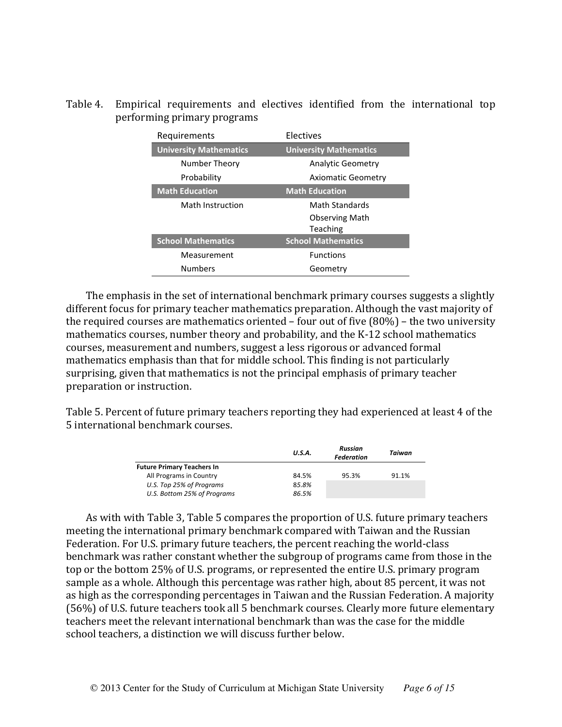Table 4. Empirical requirements and electives identified from the international top performing primary programs

| Requirements                  | Electives                     |
|-------------------------------|-------------------------------|
| <b>University Mathematics</b> | <b>University Mathematics</b> |
| Number Theory                 | <b>Analytic Geometry</b>      |
| Probability                   | <b>Axiomatic Geometry</b>     |
| <b>Math Education</b>         | <b>Math Education</b>         |
| Math Instruction              | <b>Math Standards</b>         |
|                               | <b>Observing Math</b>         |
|                               | Teaching                      |
| <b>School Mathematics</b>     | <b>School Mathematics</b>     |
| Measurement                   | <b>Functions</b>              |
| <b>Numbers</b>                | Geometry                      |

The emphasis in the set of international benchmark primary courses suggests a slightly different focus for primary teacher mathematics preparation. Although the vast majority of the required courses are mathematics oriented – four out of five (80%) – the two university mathematics courses, number theory and probability, and the K-12 school mathematics courses, measurement and numbers, suggest a less rigorous or advanced formal mathematics emphasis than that for middle school. This finding is not particularly surprising, given that mathematics is not the principal emphasis of primary teacher preparation or instruction.

Table 5. Percent of future primary teachers reporting they had experienced at least 4 of the 5 international benchmark courses.

|                                   | U.S.A. | Russian<br>Federation | Taiwan |
|-----------------------------------|--------|-----------------------|--------|
| <b>Future Primary Teachers In</b> |        |                       |        |
| All Programs in Country           | 84.5%  | 95.3%                 | 91.1%  |
| U.S. Top 25% of Programs          | 85.8%  |                       |        |
| U.S. Bottom 25% of Programs       | 86.5%  |                       |        |

As with with Table 3, Table 5 compares the proportion of U.S. future primary teachers meeting the international primary benchmark compared with Taiwan and the Russian Federation. For U.S. primary future teachers, the percent reaching the world-class benchmark was rather constant whether the subgroup of programs came from those in the top or the bottom 25% of U.S. programs, or represented the entire U.S. primary program sample as a whole. Although this percentage was rather high, about 85 percent, it was not as high as the corresponding percentages in Taiwan and the Russian Federation. A majority (56%) of U.S. future teachers took all 5 benchmark courses. Clearly more future elementary teachers meet the relevant international benchmark than was the case for the middle school teachers, a distinction we will discuss further below.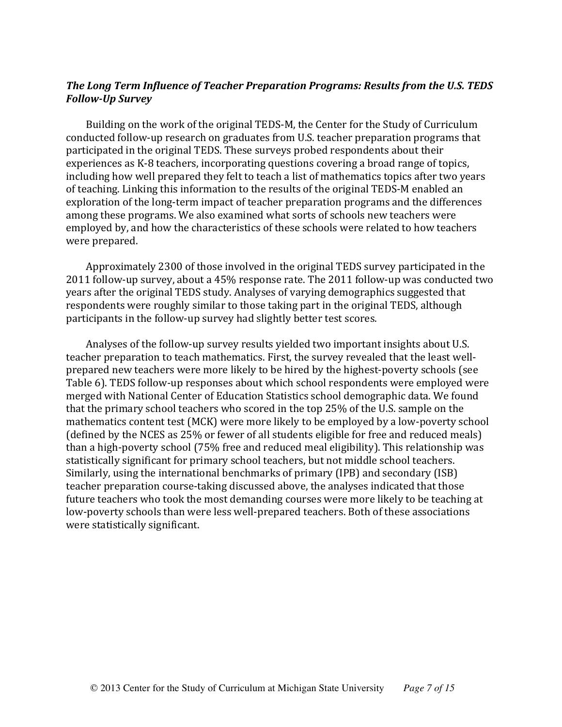## The Long Term Influence of Teacher Preparation Programs: Results from the U.S. TEDS *Follow-Up Survey*

Building on the work of the original TEDS-M, the Center for the Study of Curriculum conducted follow-up research on graduates from U.S. teacher preparation programs that participated in the original TEDS. These surveys probed respondents about their experiences as K-8 teachers, incorporating questions covering a broad range of topics, including how well prepared they felt to teach a list of mathematics topics after two years of teaching. Linking this information to the results of the original TEDS-M enabled an exploration of the long-term impact of teacher preparation programs and the differences among these programs. We also examined what sorts of schools new teachers were employed by, and how the characteristics of these schools were related to how teachers were prepared.

Approximately 2300 of those involved in the original TEDS survey participated in the 2011 follow-up survey, about a 45% response rate. The 2011 follow-up was conducted two years after the original TEDS study. Analyses of varying demographics suggested that respondents were roughly similar to those taking part in the original TEDS, although participants in the follow-up survey had slightly better test scores.

Analyses of the follow-up survey results yielded two important insights about U.S. teacher preparation to teach mathematics. First, the survey revealed that the least wellprepared new teachers were more likely to be hired by the highest-poverty schools (see Table 6). TEDS follow-up responses about which school respondents were employed were merged with National Center of Education Statistics school demographic data. We found that the primary school teachers who scored in the top  $25%$  of the U.S. sample on the mathematics content test (MCK) were more likely to be employed by a low-poverty school (defined by the NCES as  $25%$  or fewer of all students eligible for free and reduced meals) than a high-poverty school (75% free and reduced meal eligibility). This relationship was statistically significant for primary school teachers, but not middle school teachers. Similarly, using the international benchmarks of primary (IPB) and secondary (ISB) teacher preparation course-taking discussed above, the analyses indicated that those future teachers who took the most demanding courses were more likely to be teaching at low-poverty schools than were less well-prepared teachers. Both of these associations were statistically significant.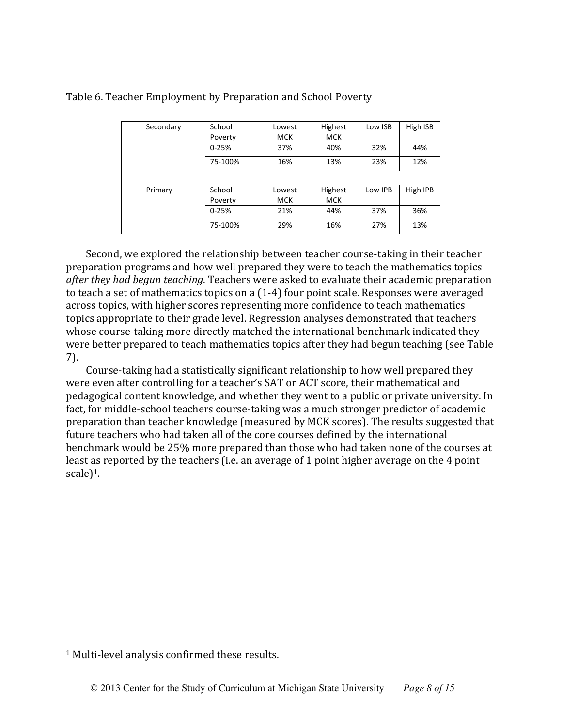| Secondary | School<br>Poverty | Lowest<br><b>MCK</b> | Highest<br><b>MCK</b> | Low ISB | High ISB |
|-----------|-------------------|----------------------|-----------------------|---------|----------|
|           | $0 - 25%$         | 37%                  | 40%                   | 32%     | 44%      |
|           | 75-100%           | 16%                  | 13%                   | 23%     | 12%      |
|           |                   |                      |                       |         |          |
| Primary   | School            | Lowest               | Highest               | Low IPB | High IPB |
|           | Poverty           | <b>MCK</b>           | <b>MCK</b>            |         |          |
|           | $0 - 25%$         | 21%                  | 44%                   | 37%     | 36%      |
|           | 75-100%           | 29%                  | 16%                   | 27%     | 13%      |

## Table 6. Teacher Employment by Preparation and School Poverty

Second, we explored the relationship between teacher course-taking in their teacher preparation programs and how well prepared they were to teach the mathematics topics *after they had begun teaching*. Teachers were asked to evaluate their academic preparation to teach a set of mathematics topics on a  $(1-4)$  four point scale. Responses were averaged across topics, with higher scores representing more confidence to teach mathematics topics appropriate to their grade level. Regression analyses demonstrated that teachers whose course-taking more directly matched the international benchmark indicated they were better prepared to teach mathematics topics after they had begun teaching (see Table)  $7$ ).

Course-taking had a statistically significant relationship to how well prepared they were even after controlling for a teacher's SAT or ACT score, their mathematical and pedagogical content knowledge, and whether they went to a public or private university. In fact, for middle-school teachers course-taking was a much stronger predictor of academic preparation than teacher knowledge (measured by MCK scores). The results suggested that future teachers who had taken all of the core courses defined by the international benchmark would be 25% more prepared than those who had taken none of the courses at least as reported by the teachers (i.e. an average of 1 point higher average on the 4 point scale $)^1$ .

(((((((((((((((((((((((((((((((((((((((((((((((((((((((

 $1$  Multi-level analysis confirmed these results.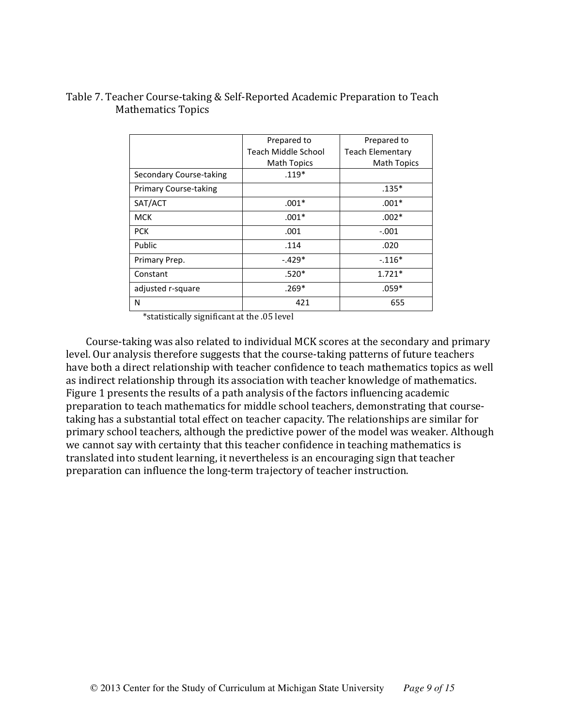## Table 7. Teacher Course-taking & Self-Reported Academic Preparation to Teach Mathematics Topics

|                              | Prepared to         | Prepared to             |
|------------------------------|---------------------|-------------------------|
|                              | Teach Middle School | <b>Teach Elementary</b> |
|                              | <b>Math Topics</b>  | <b>Math Topics</b>      |
| Secondary Course-taking      | $.119*$             |                         |
| <b>Primary Course-taking</b> |                     | $.135*$                 |
| SAT/ACT                      | $.001*$             | $.001*$                 |
| <b>MCK</b>                   | $.001*$             | $.002*$                 |
| <b>PCK</b>                   | .001                | $-.001$                 |
| Public                       | .114                | .020                    |
| Primary Prep.                | $-.429*$            | $-.116*$                |
| Constant                     | $.520*$             | $1.721*$                |
| adjusted r-square            | $.269*$             | $.059*$                 |
| N                            | 421                 | 655                     |
|                              |                     |                         |

\*statistically significant at the .05 level

Course-taking was also related to individual MCK scores at the secondary and primary level. Our analysis therefore suggests that the course-taking patterns of future teachers have both a direct relationship with teacher confidence to teach mathematics topics as well as indirect relationship through its association with teacher knowledge of mathematics. Figure 1 presents the results of a path analysis of the factors influencing academic preparation to teach mathematics for middle school teachers, demonstrating that coursetaking has a substantial total effect on teacher capacity. The relationships are similar for primary school teachers, although the predictive power of the model was weaker. Although we cannot say with certainty that this teacher confidence in teaching mathematics is translated into student learning, it nevertheless is an encouraging sign that teacher preparation can influence the long-term trajectory of teacher instruction.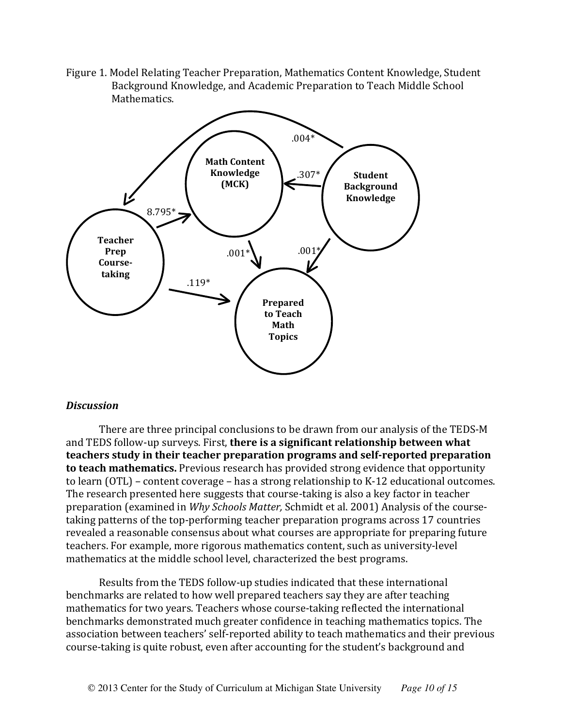Figure 1. Model Relating Teacher Preparation, Mathematics Content Knowledge, Student Background Knowledge, and Academic Preparation to Teach Middle School Mathematics.



#### *Discussion*

There are three principal conclusions to be drawn from our analysis of the TEDS-M and TEDS follow-up surveys. First, there is a significant relationship between what teachers study in their teacher preparation programs and self-reported preparation to teach mathematics. Previous research has provided strong evidence that opportunity to learn (OTL) – content coverage – has a strong relationship to K-12 educational outcomes. The research presented here suggests that course-taking is also a key factor in teacher preparation (examined in *Why Schools Matter, Schmidt et al. 2001*) Analysis of the coursetaking patterns of the top-performing teacher preparation programs across 17 countries revealed a reasonable consensus about what courses are appropriate for preparing future teachers. For example, more rigorous mathematics content, such as university-level mathematics at the middle school level, characterized the best programs.

Results from the TEDS follow-up studies indicated that these international benchmarks are related to how well prepared teachers say they are after teaching mathematics for two years. Teachers whose course-taking reflected the international benchmarks demonstrated much greater confidence in teaching mathematics topics. The association between teachers' self-reported ability to teach mathematics and their previous course-taking is quite robust, even after accounting for the student's background and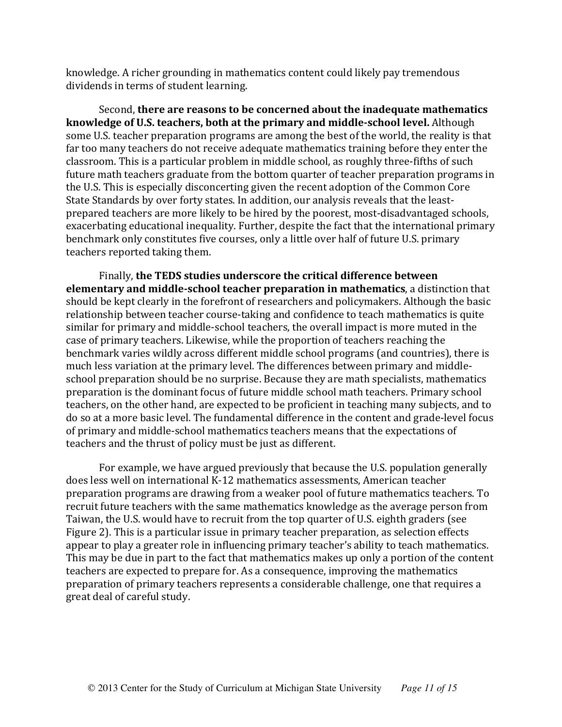knowledge. A richer grounding in mathematics content could likely pay tremendous dividends in terms of student learning.

Second, there are reasons to be concerned about the inadequate mathematics knowledge of U.S. teachers, both at the primary and middle-school level. Although some U.S. teacher preparation programs are among the best of the world, the reality is that far too many teachers do not receive adequate mathematics training before they enter the classroom. This is a particular problem in middle school, as roughly three-fifths of such future math teachers graduate from the bottom quarter of teacher preparation programs in the U.S. This is especially disconcerting given the recent adoption of the Common Core State Standards by over forty states. In addition, our analysis reveals that the leastprepared teachers are more likely to be hired by the poorest, most-disadvantaged schools, exacerbating educational inequality. Further, despite the fact that the international primary benchmark only constitutes five courses, only a little over half of future U.S. primary teachers reported taking them.

Finally, the TEDS studies underscore the critical difference between **elementary and middle-school teacher preparation in mathematics**, a distinction that should be kept clearly in the forefront of researchers and policymakers. Although the basic relationship between teacher course-taking and confidence to teach mathematics is quite similar for primary and middle-school teachers, the overall impact is more muted in the case of primary teachers. Likewise, while the proportion of teachers reaching the benchmark varies wildly across different middle school programs (and countries), there is much less variation at the primary level. The differences between primary and middleschool preparation should be no surprise. Because they are math specialists, mathematics preparation is the dominant focus of future middle school math teachers. Primary school teachers, on the other hand, are expected to be proficient in teaching many subjects, and to do so at a more basic level. The fundamental difference in the content and grade-level focus of primary and middle-school mathematics teachers means that the expectations of teachers and the thrust of policy must be just as different.

For example, we have argued previously that because the U.S. population generally does less well on international K-12 mathematics assessments, American teacher preparation programs are drawing from a weaker pool of future mathematics teachers. To recruit future teachers with the same mathematics knowledge as the average person from Taiwan, the U.S. would have to recruit from the top quarter of U.S. eighth graders (see Figure 2). This is a particular issue in primary teacher preparation, as selection effects appear to play a greater role in influencing primary teacher's ability to teach mathematics. This may be due in part to the fact that mathematics makes up only a portion of the content teachers are expected to prepare for. As a consequence, improving the mathematics preparation of primary teachers represents a considerable challenge, one that requires a great deal of careful study.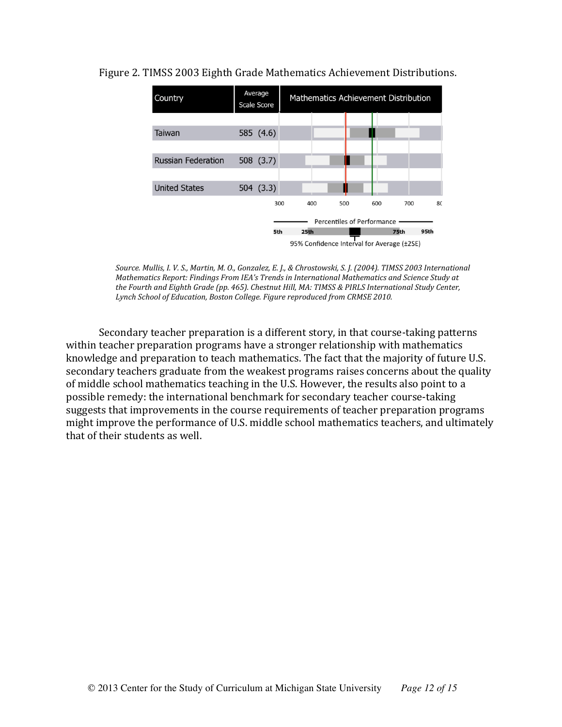

#### Figure 2. TIMSS 2003 Eighth Grade Mathematics Achievement Distributions.

*Source. Mullis, I. V. S., Martin, M. O., Gonzalez, E. J., & Chrostowski, S. J. (2004). TIMSS 2003 International Mathematics Report: Findings From IEA's Trends in International Mathematics and Science Study at* the Fourth and Eighth Grade (pp. 465). Chestnut Hill, MA: TIMSS & PIRLS International Study Center, Lynch School of Education, Boston College. Figure reproduced from CRMSE 2010.

Secondary teacher preparation is a different story, in that course-taking patterns within teacher preparation programs have a stronger relationship with mathematics knowledge and preparation to teach mathematics. The fact that the majority of future U.S. secondary teachers graduate from the weakest programs raises concerns about the quality of middle school mathematics teaching in the U.S. However, the results also point to a possible remedy: the international benchmark for secondary teacher course-taking suggests that improvements in the course requirements of teacher preparation programs might improve the performance of U.S. middle school mathematics teachers, and ultimately that of their students as well.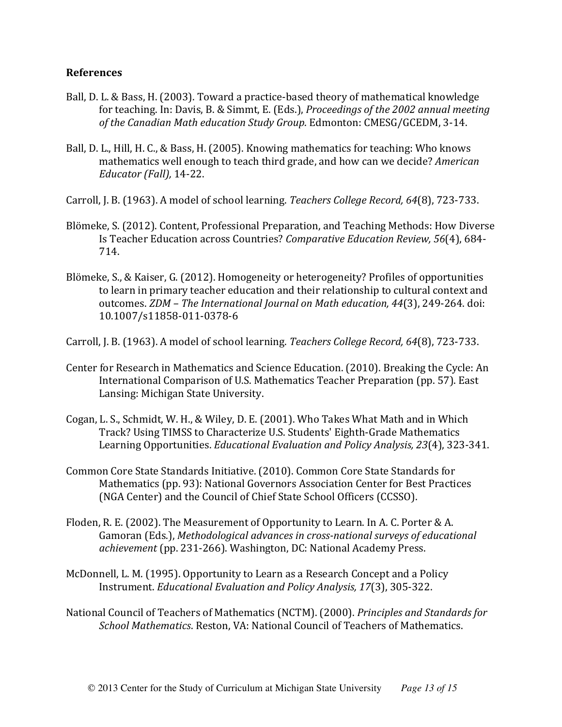#### **References**

- Ball, D. L. & Bass, H. (2003). Toward a practice-based theory of mathematical knowledge for teaching. In: Davis, B. & Simmt, E. (Eds.), *Proceedings of the 2002 annual meeting* of the Canadian Math education Study Group. Edmonton: CMESG/GCEDM, 3-14.
- Ball, D. L., Hill, H. C., & Bass, H. (2005). Knowing mathematics for teaching: Who knows mathematics well enough to teach third grade, and how can we decide? *American Educator (Fall),* 14-22.
- Carroll, J. B. (1963). A model of school learning. *Teachers College Record, 64*(8), 723-733.
- Blömeke, S. (2012). Content, Professional Preparation, and Teaching Methods: How Diverse Is Teacher Education across Countries? Comparative Education Review, 56(4), 684-714.(
- Blömeke, S., & Kaiser, G. (2012). Homogeneity or heterogeneity? Profiles of opportunities to learn in primary teacher education and their relationship to cultural context and outcomes. *ZDM – The International Journal on Math education, 44*(3), 249-264. doi: 10.1007/s11858-011-0378-6
- Carroll, J. B. (1963). A model of school learning. *Teachers College Record, 64*(8), 723-733.
- Center for Research in Mathematics and Science Education. (2010). Breaking the Cycle: An International Comparison of U.S. Mathematics Teacher Preparation (pp. 57). East Lansing: Michigan State University.
- Cogan, L. S., Schmidt, W. H., & Wiley, D. E. (2001). Who Takes What Math and in Which Track? Using TIMSS to Characterize U.S. Students' Eighth-Grade Mathematics Learning Opportunities. *Educational Evaluation and Policy Analysis, 23*(4), 323-341.
- Common Core State Standards Initiative. (2010). Common Core State Standards for Mathematics (pp. 93): National Governors Association Center for Best Practices (NGA Center) and the Council of Chief State School Officers (CCSSO).
- Floden, R. E. (2002). The Measurement of Opportunity to Learn. In A. C. Porter & A. Gamoran (Eds.), *Methodological advances in cross-national surveys of educational* achievement (pp. 231-266). Washington, DC: National Academy Press.
- McDonnell, L. M. (1995). Opportunity to Learn as a Research Concept and a Policy Instrument. *Educational Evaluation and Policy Analysis, 17*(3), 305-322.
- National Council of Teachers of Mathematics (NCTM). (2000). *Principles and Standards for School Mathematics*. Reston, VA: National Council of Teachers of Mathematics.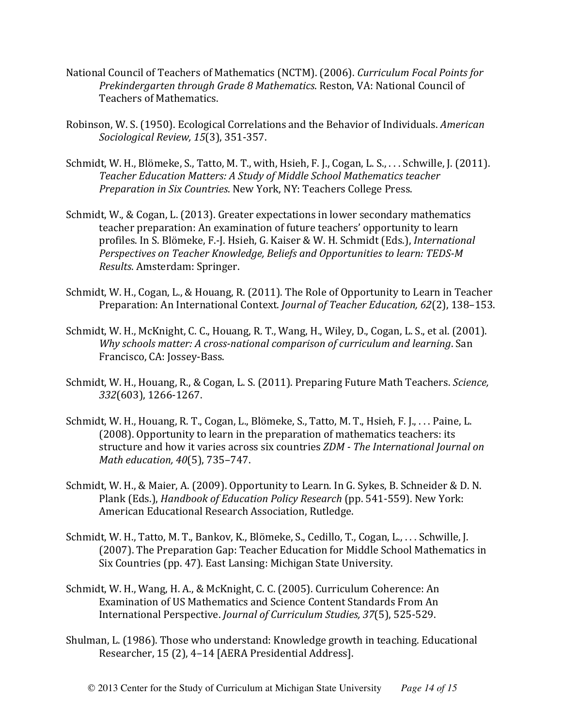- National Council of Teachers of Mathematics (NCTM). (2006). *Curriculum Focal Points for Prekindergarten through Grade 8 Mathematics*. Reston, VA: National Council of Teachers of Mathematics.
- Robinson, W. S. (1950). Ecological Correlations and the Behavior of Individuals. *American Sociological Review, 15*(3), 351-357.
- Schmidt, W. H., Blömeke, S., Tatto, M. T., with, Hsieh, F. J., Cogan, L. S., ... Schwille, J. (2011). **Teacher Education Matters: A Study of Middle School Mathematics teacher** *Preparation in Six Countries. New York, NY: Teachers College Press.*
- Schmidt, W., & Cogan, L. (2013). Greater expectations in lower secondary mathematics teacher preparation: An examination of future teachers' opportunity to learn profiles. In S. Blömeke, F.-J. Hsieh, G. Kaiser & W. H. Schmidt (Eds.), *International Perspectives on Teacher Knowledge, Beliefs and Opportunities to learn: TEDS-M Results. Amsterdam: Springer.*
- Schmidt, W.H., Cogan, L., & Houang, R. (2011). The Role of Opportunity to Learn in Teacher Preparation: An International Context. *Journal of Teacher Education, 62*(2), 138–153.
- Schmidt, W. H., McKnight, C. C., Houang, R. T., Wang, H., Wiley, D., Cogan, L. S., et al. (2001). *Why schools matter: A cross-national comparison of curriculum and learning. San* Francisco, CA: Jossey-Bass.
- Schmidt, W. H., Houang, R., & Cogan, L. S. (2011). Preparing Future Math Teachers. *Science*, 332(603), 1266-1267.
- Schmidt, W. H., Houang, R. T., Cogan, L., Blömeke, S., Tatto, M. T., Hsieh, F. J., ... Paine, L. (2008). Opportunity to learn in the preparation of mathematics teachers: its structure and how it varies across six countries *ZDM - The International Journal on Math education, 40*(5), 735-747.
- Schmidt, W. H., & Maier, A. (2009). Opportunity to Learn. In G. Sykes, B. Schneider & D.N. Plank (Eds.), *Handbook of Education Policy Research* (pp. 541-559). New York: American Educational Research Association, Rutledge.
- Schmidt, W. H., Tatto, M. T., Bankov, K., Blömeke, S., Cedillo, T., Cogan, L., ... Schwille, J. (2007). The Preparation Gap: Teacher Education for Middle School Mathematics in Six Countries (pp. 47). East Lansing: Michigan State University.
- Schmidt, W. H., Wang, H. A., & McKnight, C. C. (2005). Curriculum Coherence: An Examination of US Mathematics and Science Content Standards From An International Perspective. *Journal of Curriculum Studies, 37*(5), 525-529.
- Shulman, L. (1986). Those who understand: Knowledge growth in teaching. Educational Researcher, 15(2), 4-14 [AERA Presidential Address].